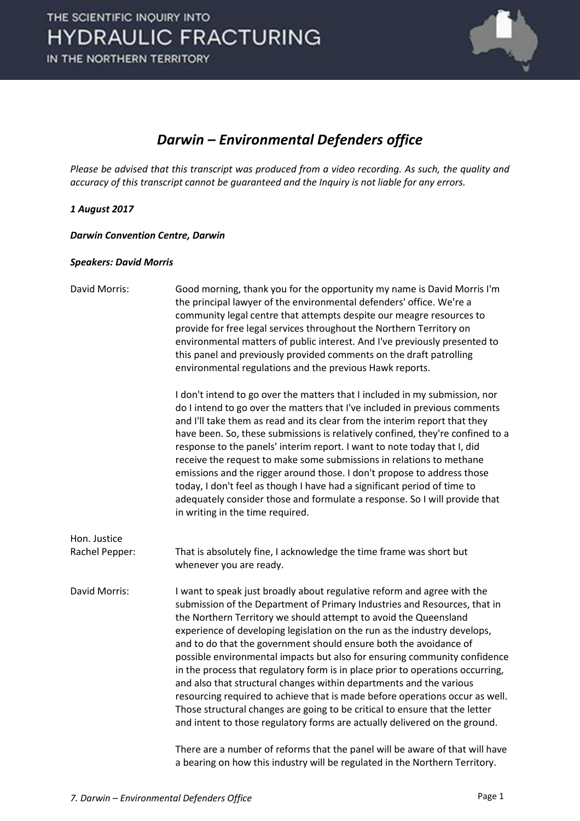

### *Darwin – Environmental Defenders office*

*Please be advised that this transcript was produced from a video recording. As such, the quality and accuracy of this transcript cannot be guaranteed and the Inquiry is not liable for any errors.*

### *1 August 2017*

*Darwin Convention Centre, Darwin* 

#### *Speakers: David Morris*

| David Morris:  | Good morning, thank you for the opportunity my name is David Morris I'm<br>the principal lawyer of the environmental defenders' office. We're a<br>community legal centre that attempts despite our meagre resources to<br>provide for free legal services throughout the Northern Territory on<br>environmental matters of public interest. And I've previously presented to<br>this panel and previously provided comments on the draft patrolling<br>environmental regulations and the previous Hawk reports.                                                                                                                                                                                                                                                                                                                                              |
|----------------|---------------------------------------------------------------------------------------------------------------------------------------------------------------------------------------------------------------------------------------------------------------------------------------------------------------------------------------------------------------------------------------------------------------------------------------------------------------------------------------------------------------------------------------------------------------------------------------------------------------------------------------------------------------------------------------------------------------------------------------------------------------------------------------------------------------------------------------------------------------|
|                | I don't intend to go over the matters that I included in my submission, nor<br>do I intend to go over the matters that I've included in previous comments<br>and I'll take them as read and its clear from the interim report that they<br>have been. So, these submissions is relatively confined, they're confined to a<br>response to the panels' interim report. I want to note today that I, did<br>receive the request to make some submissions in relations to methane<br>emissions and the rigger around those. I don't propose to address those<br>today, I don't feel as though I have had a significant period of time to<br>adequately consider those and formulate a response. So I will provide that<br>in writing in the time required.                                                                                                        |
| Hon. Justice   |                                                                                                                                                                                                                                                                                                                                                                                                                                                                                                                                                                                                                                                                                                                                                                                                                                                               |
| Rachel Pepper: | That is absolutely fine, I acknowledge the time frame was short but<br>whenever you are ready.                                                                                                                                                                                                                                                                                                                                                                                                                                                                                                                                                                                                                                                                                                                                                                |
| David Morris:  | I want to speak just broadly about regulative reform and agree with the<br>submission of the Department of Primary Industries and Resources, that in<br>the Northern Territory we should attempt to avoid the Queensland<br>experience of developing legislation on the run as the industry develops,<br>and to do that the government should ensure both the avoidance of<br>possible environmental impacts but also for ensuring community confidence<br>in the process that regulatory form is in place prior to operations occurring,<br>and also that structural changes within departments and the various<br>resourcing required to achieve that is made before operations occur as well.<br>Those structural changes are going to be critical to ensure that the letter<br>and intent to those regulatory forms are actually delivered on the ground. |
|                | There are a number of reforms that the panel will be aware of that will have                                                                                                                                                                                                                                                                                                                                                                                                                                                                                                                                                                                                                                                                                                                                                                                  |

a bearing on how this industry will be regulated in the Northern Territory.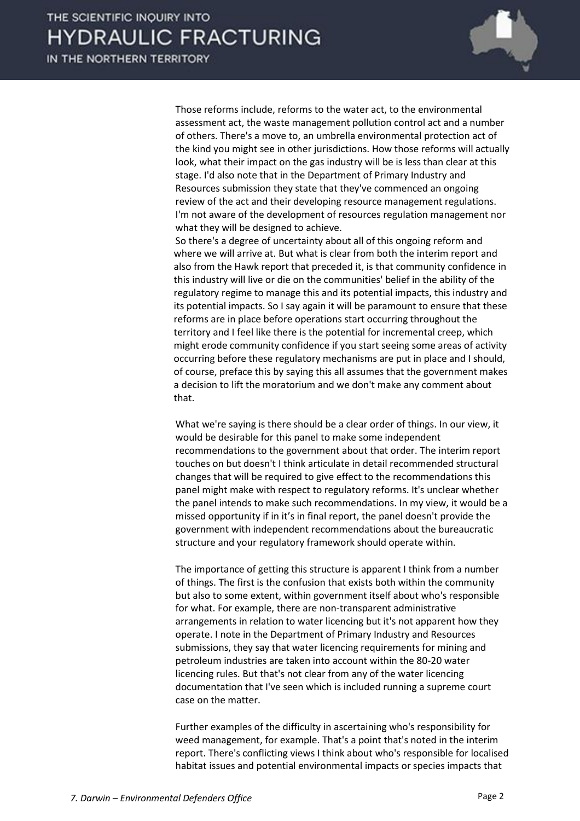

Those reforms include, reforms to the water act, to the environmental assessment act, the waste management pollution control act and a number of others. There's a move to, an umbrella environmental protection act of the kind you might see in other jurisdictions. How those reforms will actually look, what their impact on the gas industry will be is less than clear at this stage. I'd also note that in the Department of Primary Industry and Resources submission they state that they've commenced an ongoing review of the act and their developing resource management regulations. I'm not aware of the development of resources regulation management nor what they will be designed to achieve.

So there's a degree of uncertainty about all of this ongoing reform and where we will arrive at. But what is clear from both the interim report and also from the Hawk report that preceded it, is that community confidence in this industry will live or die on the communities' belief in the ability of the regulatory regime to manage this and its potential impacts, this industry and its potential impacts. So I say again it will be paramount to ensure that these reforms are in place before operations start occurring throughout the territory and I feel like there is the potential for incremental creep, which might erode community confidence if you start seeing some areas of activity occurring before these regulatory mechanisms are put in place and I should, of course, preface this by saying this all assumes that the government makes a decision to lift the moratorium and we don't make any comment about that.

What we're saying is there should be a clear order of things. In our view, it would be desirable for this panel to make some independent recommendations to the government about that order. The interim report touches on but doesn't I think articulate in detail recommended structural changes that will be required to give effect to the recommendations this panel might make with respect to regulatory reforms. It's unclear whether the panel intends to make such recommendations. In my view, it would be a missed opportunity if in it's in final report, the panel doesn't provide the government with independent recommendations about the bureaucratic structure and your regulatory framework should operate within.

The importance of getting this structure is apparent I think from a number of things. The first is the confusion that exists both within the community but also to some extent, within government itself about who's responsible for what. For example, there are non-transparent administrative arrangements in relation to water licencing but it's not apparent how they operate. I note in the Department of Primary Industry and Resources submissions, they say that water licencing requirements for mining and petroleum industries are taken into account within the 80-20 water licencing rules. But that's not clear from any of the water licencing documentation that I've seen which is included running a supreme court case on the matter.

Further examples of the difficulty in ascertaining who's responsibility for weed management, for example. That's a point that's noted in the interim report. There's conflicting views I think about who's responsible for localised habitat issues and potential environmental impacts or species impacts that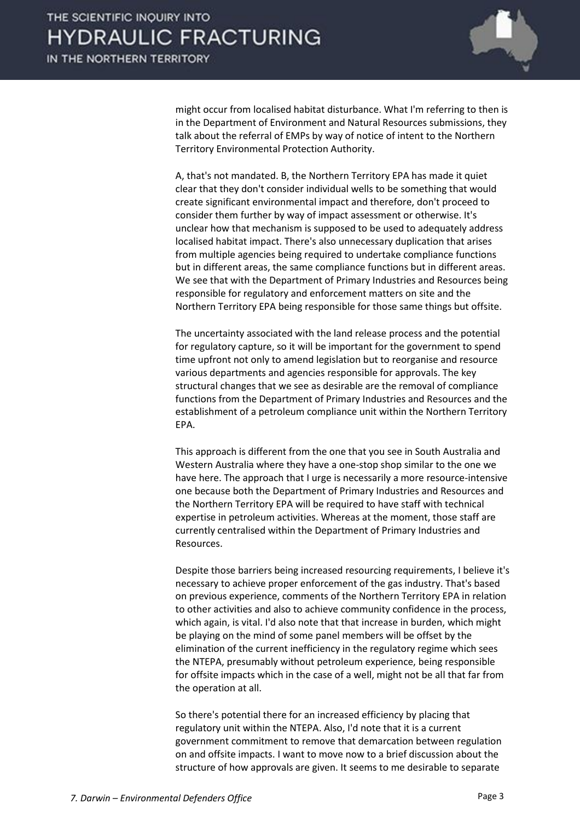

might occur from localised habitat disturbance. What I'm referring to then is in the Department of Environment and Natural Resources submissions, they talk about the referral of EMPs by way of notice of intent to the Northern Territory Environmental Protection Authority.

A, that's not mandated. B, the Northern Territory EPA has made it quiet clear that they don't consider individual wells to be something that would create significant environmental impact and therefore, don't proceed to consider them further by way of impact assessment or otherwise. It's unclear how that mechanism is supposed to be used to adequately address localised habitat impact. There's also unnecessary duplication that arises from multiple agencies being required to undertake compliance functions but in different areas, the same compliance functions but in different areas. We see that with the Department of Primary Industries and Resources being responsible for regulatory and enforcement matters on site and the Northern Territory EPA being responsible for those same things but offsite.

The uncertainty associated with the land release process and the potential for regulatory capture, so it will be important for the government to spend time upfront not only to amend legislation but to reorganise and resource various departments and agencies responsible for approvals. The key structural changes that we see as desirable are the removal of compliance functions from the Department of Primary Industries and Resources and the establishment of a petroleum compliance unit within the Northern Territory EPA.

This approach is different from the one that you see in South Australia and Western Australia where they have a one-stop shop similar to the one we have here. The approach that I urge is necessarily a more resource-intensive one because both the Department of Primary Industries and Resources and the Northern Territory EPA will be required to have staff with technical expertise in petroleum activities. Whereas at the moment, those staff are currently centralised within the Department of Primary Industries and Resources.

Despite those barriers being increased resourcing requirements, I believe it's necessary to achieve proper enforcement of the gas industry. That's based on previous experience, comments of the Northern Territory EPA in relation to other activities and also to achieve community confidence in the process, which again, is vital. I'd also note that that increase in burden, which might be playing on the mind of some panel members will be offset by the elimination of the current inefficiency in the regulatory regime which sees the NTEPA, presumably without petroleum experience, being responsible for offsite impacts which in the case of a well, might not be all that far from the operation at all.

So there's potential there for an increased efficiency by placing that regulatory unit within the NTEPA. Also, I'd note that it is a current government commitment to remove that demarcation between regulation on and offsite impacts. I want to move now to a brief discussion about the structure of how approvals are given. It seems to me desirable to separate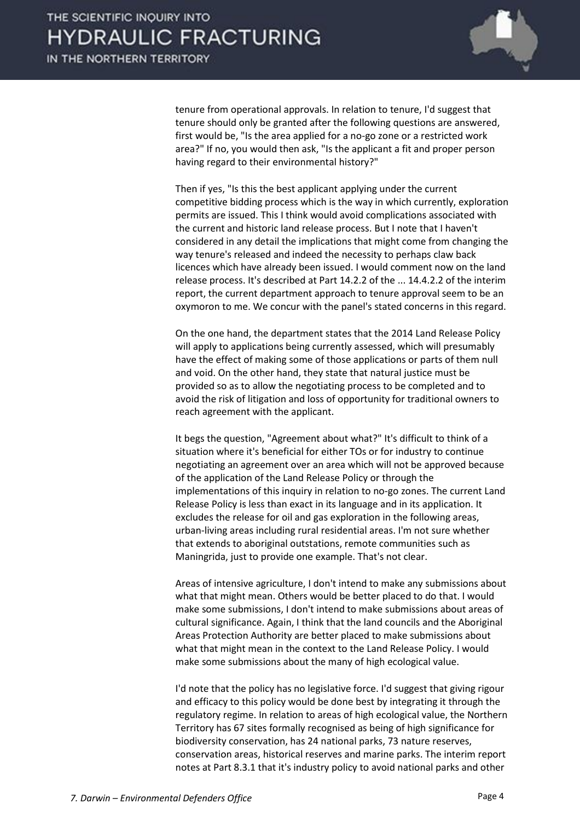

tenure from operational approvals. In relation to tenure, I'd suggest that tenure should only be granted after the following questions are answered, first would be, "Is the area applied for a no-go zone or a restricted work area?" If no, you would then ask, "Is the applicant a fit and proper person having regard to their environmental history?"

Then if yes, "Is this the best applicant applying under the current competitive bidding process which is the way in which currently, exploration permits are issued. This I think would avoid complications associated with the current and historic land release process. But I note that I haven't considered in any detail the implications that might come from changing the way tenure's released and indeed the necessity to perhaps claw back licences which have already been issued. I would comment now on the land release process. It's described at Part 14.2.2 of the ... 14.4.2.2 of the interim report, the current department approach to tenure approval seem to be an oxymoron to me. We concur with the panel's stated concerns in this regard.

On the one hand, the department states that the 2014 Land Release Policy will apply to applications being currently assessed, which will presumably have the effect of making some of those applications or parts of them null and void. On the other hand, they state that natural justice must be provided so as to allow the negotiating process to be completed and to avoid the risk of litigation and loss of opportunity for traditional owners to reach agreement with the applicant.

It begs the question, "Agreement about what?" It's difficult to think of a situation where it's beneficial for either TOs or for industry to continue negotiating an agreement over an area which will not be approved because of the application of the Land Release Policy or through the implementations of this inquiry in relation to no-go zones. The current Land Release Policy is less than exact in its language and in its application. It excludes the release for oil and gas exploration in the following areas, urban-living areas including rural residential areas. I'm not sure whether that extends to aboriginal outstations, remote communities such as Maningrida, just to provide one example. That's not clear.

Areas of intensive agriculture, I don't intend to make any submissions about what that might mean. Others would be better placed to do that. I would make some submissions, I don't intend to make submissions about areas of cultural significance. Again, I think that the land councils and the Aboriginal Areas Protection Authority are better placed to make submissions about what that might mean in the context to the Land Release Policy. I would make some submissions about the many of high ecological value.

I'd note that the policy has no legislative force. I'd suggest that giving rigour and efficacy to this policy would be done best by integrating it through the regulatory regime. In relation to areas of high ecological value, the Northern Territory has 67 sites formally recognised as being of high significance for biodiversity conservation, has 24 national parks, 73 nature reserves, conservation areas, historical reserves and marine parks. The interim report notes at Part 8.3.1 that it's industry policy to avoid national parks and other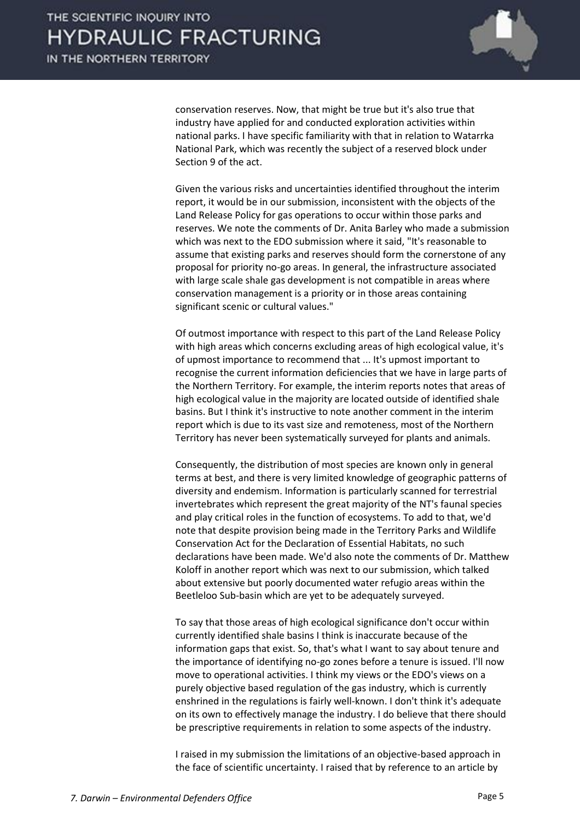

conservation reserves. Now, that might be true but it's also true that industry have applied for and conducted exploration activities within national parks. I have specific familiarity with that in relation to Watarrka National Park, which was recently the subject of a reserved block under Section 9 of the act.

Given the various risks and uncertainties identified throughout the interim report, it would be in our submission, inconsistent with the objects of the Land Release Policy for gas operations to occur within those parks and reserves. We note the comments of Dr. Anita Barley who made a submission which was next to the EDO submission where it said, "It's reasonable to assume that existing parks and reserves should form the cornerstone of any proposal for priority no-go areas. In general, the infrastructure associated with large scale shale gas development is not compatible in areas where conservation management is a priority or in those areas containing significant scenic or cultural values."

Of outmost importance with respect to this part of the Land Release Policy with high areas which concerns excluding areas of high ecological value, it's of upmost importance to recommend that ... It's upmost important to recognise the current information deficiencies that we have in large parts of the Northern Territory. For example, the interim reports notes that areas of high ecological value in the majority are located outside of identified shale basins. But I think it's instructive to note another comment in the interim report which is due to its vast size and remoteness, most of the Northern Territory has never been systematically surveyed for plants and animals.

Consequently, the distribution of most species are known only in general terms at best, and there is very limited knowledge of geographic patterns of diversity and endemism. Information is particularly scanned for terrestrial invertebrates which represent the great majority of the NT's faunal species and play critical roles in the function of ecosystems. To add to that, we'd note that despite provision being made in the Territory Parks and Wildlife Conservation Act for the Declaration of Essential Habitats, no such declarations have been made. We'd also note the comments of Dr. Matthew Koloff in another report which was next to our submission, which talked about extensive but poorly documented water refugio areas within the Beetleloo Sub-basin which are yet to be adequately surveyed.

To say that those areas of high ecological significance don't occur within currently identified shale basins I think is inaccurate because of the information gaps that exist. So, that's what I want to say about tenure and the importance of identifying no-go zones before a tenure is issued. I'll now move to operational activities. I think my views or the EDO's views on a purely objective based regulation of the gas industry, which is currently enshrined in the regulations is fairly well-known. I don't think it's adequate on its own to effectively manage the industry. I do believe that there should be prescriptive requirements in relation to some aspects of the industry.

I raised in my submission the limitations of an objective-based approach in the face of scientific uncertainty. I raised that by reference to an article by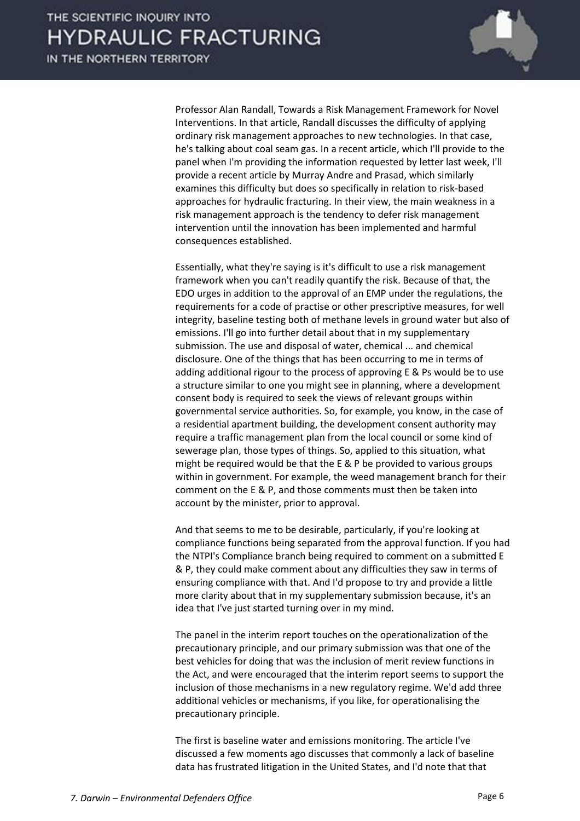

Professor Alan Randall, Towards a Risk Management Framework for Novel Interventions. In that article, Randall discusses the difficulty of applying ordinary risk management approaches to new technologies. In that case, he's talking about coal seam gas. In a recent article, which I'll provide to the panel when I'm providing the information requested by letter last week, I'll provide a recent article by Murray Andre and Prasad, which similarly examines this difficulty but does so specifically in relation to risk-based approaches for hydraulic fracturing. In their view, the main weakness in a risk management approach is the tendency to defer risk management intervention until the innovation has been implemented and harmful consequences established.

Essentially, what they're saying is it's difficult to use a risk management framework when you can't readily quantify the risk. Because of that, the EDO urges in addition to the approval of an EMP under the regulations, the requirements for a code of practise or other prescriptive measures, for well integrity, baseline testing both of methane levels in ground water but also of emissions. I'll go into further detail about that in my supplementary submission. The use and disposal of water, chemical ... and chemical disclosure. One of the things that has been occurring to me in terms of adding additional rigour to the process of approving E & Ps would be to use a structure similar to one you might see in planning, where a development consent body is required to seek the views of relevant groups within governmental service authorities. So, for example, you know, in the case of a residential apartment building, the development consent authority may require a traffic management plan from the local council or some kind of sewerage plan, those types of things. So, applied to this situation, what might be required would be that the E & P be provided to various groups within in government. For example, the weed management branch for their comment on the E & P, and those comments must then be taken into account by the minister, prior to approval.

And that seems to me to be desirable, particularly, if you're looking at compliance functions being separated from the approval function. If you had the NTPI's Compliance branch being required to comment on a submitted E & P, they could make comment about any difficulties they saw in terms of ensuring compliance with that. And I'd propose to try and provide a little more clarity about that in my supplementary submission because, it's an idea that I've just started turning over in my mind.

The panel in the interim report touches on the operationalization of the precautionary principle, and our primary submission was that one of the best vehicles for doing that was the inclusion of merit review functions in the Act, and were encouraged that the interim report seems to support the inclusion of those mechanisms in a new regulatory regime. We'd add three additional vehicles or mechanisms, if you like, for operationalising the precautionary principle.

The first is baseline water and emissions monitoring. The article I've discussed a few moments ago discusses that commonly a lack of baseline data has frustrated litigation in the United States, and I'd note that that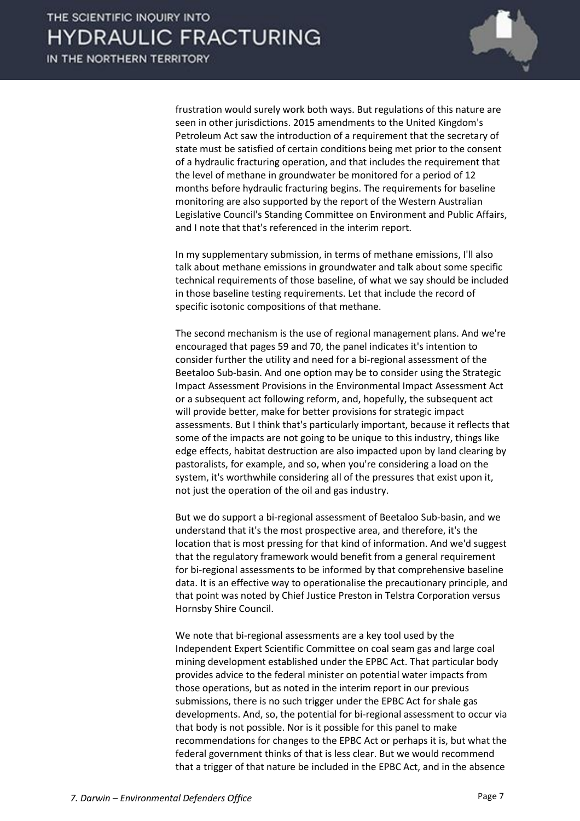

frustration would surely work both ways. But regulations of this nature are seen in other jurisdictions. 2015 amendments to the United Kingdom's Petroleum Act saw the introduction of a requirement that the secretary of state must be satisfied of certain conditions being met prior to the consent of a hydraulic fracturing operation, and that includes the requirement that the level of methane in groundwater be monitored for a period of 12 months before hydraulic fracturing begins. The requirements for baseline monitoring are also supported by the report of the Western Australian Legislative Council's Standing Committee on Environment and Public Affairs, and I note that that's referenced in the interim report.

In my supplementary submission, in terms of methane emissions, I'll also talk about methane emissions in groundwater and talk about some specific technical requirements of those baseline, of what we say should be included in those baseline testing requirements. Let that include the record of specific isotonic compositions of that methane.

The second mechanism is the use of regional management plans. And we're encouraged that pages 59 and 70, the panel indicates it's intention to consider further the utility and need for a bi-regional assessment of the Beetaloo Sub-basin. And one option may be to consider using the Strategic Impact Assessment Provisions in the Environmental Impact Assessment Act or a subsequent act following reform, and, hopefully, the subsequent act will provide better, make for better provisions for strategic impact assessments. But I think that's particularly important, because it reflects that some of the impacts are not going to be unique to this industry, things like edge effects, habitat destruction are also impacted upon by land clearing by pastoralists, for example, and so, when you're considering a load on the system, it's worthwhile considering all of the pressures that exist upon it, not just the operation of the oil and gas industry.

But we do support a bi-regional assessment of Beetaloo Sub-basin, and we understand that it's the most prospective area, and therefore, it's the location that is most pressing for that kind of information. And we'd suggest that the regulatory framework would benefit from a general requirement for bi-regional assessments to be informed by that comprehensive baseline data. It is an effective way to operationalise the precautionary principle, and that point was noted by Chief Justice Preston in Telstra Corporation versus Hornsby Shire Council.

We note that bi-regional assessments are a key tool used by the Independent Expert Scientific Committee on coal seam gas and large coal mining development established under the EPBC Act. That particular body provides advice to the federal minister on potential water impacts from those operations, but as noted in the interim report in our previous submissions, there is no such trigger under the EPBC Act for shale gas developments. And, so, the potential for bi-regional assessment to occur via that body is not possible. Nor is it possible for this panel to make recommendations for changes to the EPBC Act or perhaps it is, but what the federal government thinks of that is less clear. But we would recommend that a trigger of that nature be included in the EPBC Act, and in the absence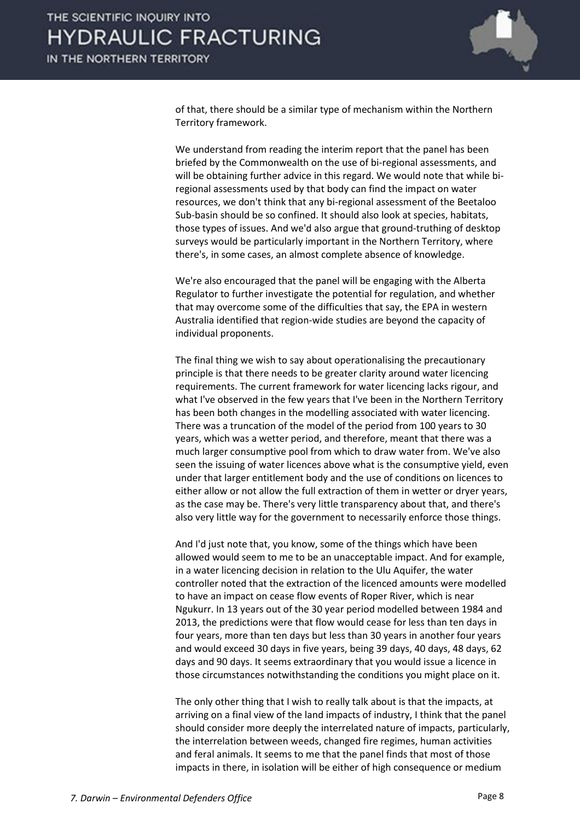

of that, there should be a similar type of mechanism within the Northern Territory framework.

We understand from reading the interim report that the panel has been briefed by the Commonwealth on the use of bi-regional assessments, and will be obtaining further advice in this regard. We would note that while biregional assessments used by that body can find the impact on water resources, we don't think that any bi-regional assessment of the Beetaloo Sub-basin should be so confined. It should also look at species, habitats, those types of issues. And we'd also argue that ground-truthing of desktop surveys would be particularly important in the Northern Territory, where there's, in some cases, an almost complete absence of knowledge.

We're also encouraged that the panel will be engaging with the Alberta Regulator to further investigate the potential for regulation, and whether that may overcome some of the difficulties that say, the EPA in western Australia identified that region-wide studies are beyond the capacity of individual proponents.

The final thing we wish to say about operationalising the precautionary principle is that there needs to be greater clarity around water licencing requirements. The current framework for water licencing lacks rigour, and what I've observed in the few years that I've been in the Northern Territory has been both changes in the modelling associated with water licencing. There was a truncation of the model of the period from 100 years to 30 years, which was a wetter period, and therefore, meant that there was a much larger consumptive pool from which to draw water from. We've also seen the issuing of water licences above what is the consumptive yield, even under that larger entitlement body and the use of conditions on licences to either allow or not allow the full extraction of them in wetter or dryer years, as the case may be. There's very little transparency about that, and there's also very little way for the government to necessarily enforce those things.

And I'd just note that, you know, some of the things which have been allowed would seem to me to be an unacceptable impact. And for example, in a water licencing decision in relation to the Ulu Aquifer, the water controller noted that the extraction of the licenced amounts were modelled to have an impact on cease flow events of Roper River, which is near Ngukurr. In 13 years out of the 30 year period modelled between 1984 and 2013, the predictions were that flow would cease for less than ten days in four years, more than ten days but less than 30 years in another four years and would exceed 30 days in five years, being 39 days, 40 days, 48 days, 62 days and 90 days. It seems extraordinary that you would issue a licence in those circumstances notwithstanding the conditions you might place on it.

The only other thing that I wish to really talk about is that the impacts, at arriving on a final view of the land impacts of industry, I think that the panel should consider more deeply the interrelated nature of impacts, particularly, the interrelation between weeds, changed fire regimes, human activities and feral animals. It seems to me that the panel finds that most of those impacts in there, in isolation will be either of high consequence or medium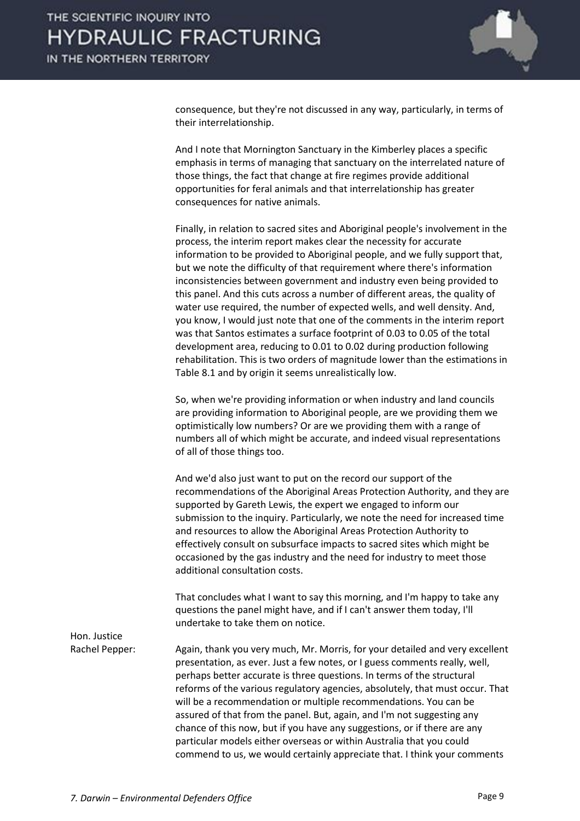

consequence, but they're not discussed in any way, particularly, in terms of their interrelationship.

And I note that Mornington Sanctuary in the Kimberley places a specific emphasis in terms of managing that sanctuary on the interrelated nature of those things, the fact that change at fire regimes provide additional opportunities for feral animals and that interrelationship has greater consequences for native animals.

Finally, in relation to sacred sites and Aboriginal people's involvement in the process, the interim report makes clear the necessity for accurate information to be provided to Aboriginal people, and we fully support that, but we note the difficulty of that requirement where there's information inconsistencies between government and industry even being provided to this panel. And this cuts across a number of different areas, the quality of water use required, the number of expected wells, and well density. And, you know, I would just note that one of the comments in the interim report was that Santos estimates a surface footprint of 0.03 to 0.05 of the total development area, reducing to 0.01 to 0.02 during production following rehabilitation. This is two orders of magnitude lower than the estimations in Table 8.1 and by origin it seems unrealistically low.

So, when we're providing information or when industry and land councils are providing information to Aboriginal people, are we providing them we optimistically low numbers? Or are we providing them with a range of numbers all of which might be accurate, and indeed visual representations of all of those things too.

And we'd also just want to put on the record our support of the recommendations of the Aboriginal Areas Protection Authority, and they are supported by Gareth Lewis, the expert we engaged to inform our submission to the inquiry. Particularly, we note the need for increased time and resources to allow the Aboriginal Areas Protection Authority to effectively consult on subsurface impacts to sacred sites which might be occasioned by the gas industry and the need for industry to meet those additional consultation costs.

That concludes what I want to say this morning, and I'm happy to take any questions the panel might have, and if I can't answer them today, I'll undertake to take them on notice.

Hon. Justice

Rachel Pepper: Again, thank you very much, Mr. Morris, for your detailed and very excellent presentation, as ever. Just a few notes, or I guess comments really, well, perhaps better accurate is three questions. In terms of the structural reforms of the various regulatory agencies, absolutely, that must occur. That will be a recommendation or multiple recommendations. You can be assured of that from the panel. But, again, and I'm not suggesting any chance of this now, but if you have any suggestions, or if there are any particular models either overseas or within Australia that you could commend to us, we would certainly appreciate that. I think your comments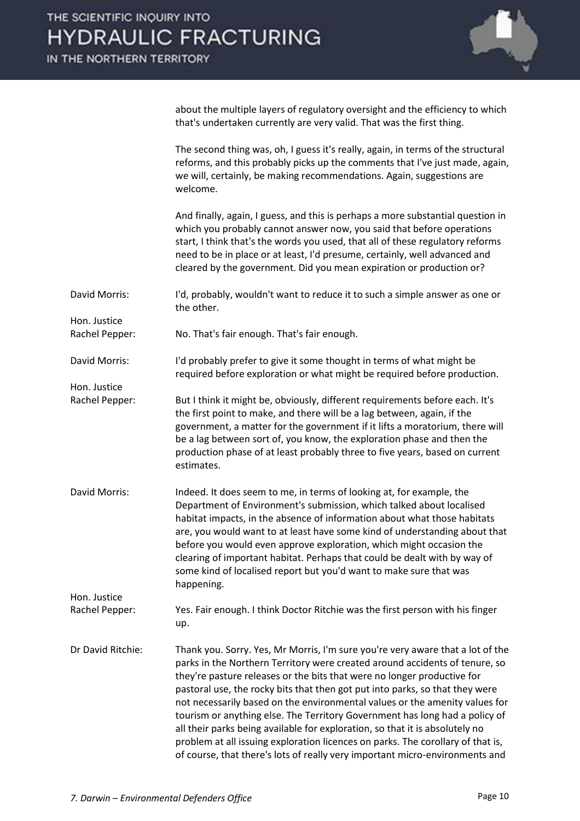

about the multiple layers of regulatory oversight and the efficiency to which that's undertaken currently are very valid. That was the first thing.

The second thing was, oh, I guess it's really, again, in terms of the structural reforms, and this probably picks up the comments that I've just made, again, we will, certainly, be making recommendations. Again, suggestions are welcome.

And finally, again, I guess, and this is perhaps a more substantial question in which you probably cannot answer now, you said that before operations start, I think that's the words you used, that all of these regulatory reforms need to be in place or at least, I'd presume, certainly, well advanced and cleared by the government. Did you mean expiration or production or?

David Morris: I'd, probably, wouldn't want to reduce it to such a simple answer as one or the other.

Rachel Pepper: No. That's fair enough. That's fair enough.

Hon. Justice

David Morris: I'd probably prefer to give it some thought in terms of what might be required before exploration or what might be required before production.

Hon. Justice Rachel Pepper: But I think it might be, obviously, different requirements before each. It's the first point to make, and there will be a lag between, again, if the

government, a matter for the government if it lifts a moratorium, there will be a lag between sort of, you know, the exploration phase and then the production phase of at least probably three to five years, based on current estimates.

David Morris: Indeed. It does seem to me, in terms of looking at, for example, the Department of Environment's submission, which talked about localised habitat impacts, in the absence of information about what those habitats are, you would want to at least have some kind of understanding about that before you would even approve exploration, which might occasion the clearing of important habitat. Perhaps that could be dealt with by way of some kind of localised report but you'd want to make sure that was happening. Hon. Justice

Rachel Pepper: Yes. Fair enough. I think Doctor Ritchie was the first person with his finger up.

Dr David Ritchie: Thank you. Sorry. Yes, Mr Morris, I'm sure you're very aware that a lot of the parks in the Northern Territory were created around accidents of tenure, so they're pasture releases or the bits that were no longer productive for pastoral use, the rocky bits that then got put into parks, so that they were not necessarily based on the environmental values or the amenity values for tourism or anything else. The Territory Government has long had a policy of all their parks being available for exploration, so that it is absolutely no problem at all issuing exploration licences on parks. The corollary of that is, of course, that there's lots of really very important micro-environments and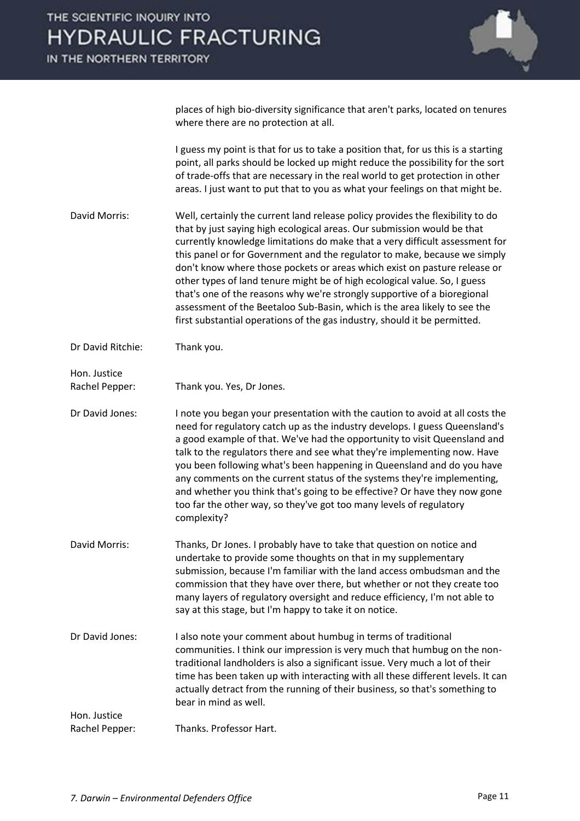

places of high bio-diversity significance that aren't parks, located on tenures where there are no protection at all.

I guess my point is that for us to take a position that, for us this is a starting point, all parks should be locked up might reduce the possibility for the sort of trade-offs that are necessary in the real world to get protection in other areas. I just want to put that to you as what your feelings on that might be.

David Morris: Well, certainly the current land release policy provides the flexibility to do that by just saying high ecological areas. Our submission would be that currently knowledge limitations do make that a very difficult assessment for this panel or for Government and the regulator to make, because we simply don't know where those pockets or areas which exist on pasture release or other types of land tenure might be of high ecological value. So, I guess that's one of the reasons why we're strongly supportive of a bioregional assessment of the Beetaloo Sub-Basin, which is the area likely to see the first substantial operations of the gas industry, should it be permitted.

Dr David Ritchie: Thank you.

Hon. Justice Rachel Pepper: Thank you. Yes, Dr Jones.

Dr David Jones: I note you began your presentation with the caution to avoid at all costs the need for regulatory catch up as the industry develops. I guess Queensland's a good example of that. We've had the opportunity to visit Queensland and talk to the regulators there and see what they're implementing now. Have you been following what's been happening in Queensland and do you have any comments on the current status of the systems they're implementing, and whether you think that's going to be effective? Or have they now gone too far the other way, so they've got too many levels of regulatory complexity?

David Morris: Thanks, Dr Jones. I probably have to take that question on notice and undertake to provide some thoughts on that in my supplementary submission, because I'm familiar with the land access ombudsman and the commission that they have over there, but whether or not they create too many layers of regulatory oversight and reduce efficiency, I'm not able to say at this stage, but I'm happy to take it on notice.

Dr David Jones: I also note your comment about humbug in terms of traditional communities. I think our impression is very much that humbug on the nontraditional landholders is also a significant issue. Very much a lot of their time has been taken up with interacting with all these different levels. It can actually detract from the running of their business, so that's something to bear in mind as well.

Rachel Pepper: Thanks. Professor Hart.

Hon. Justice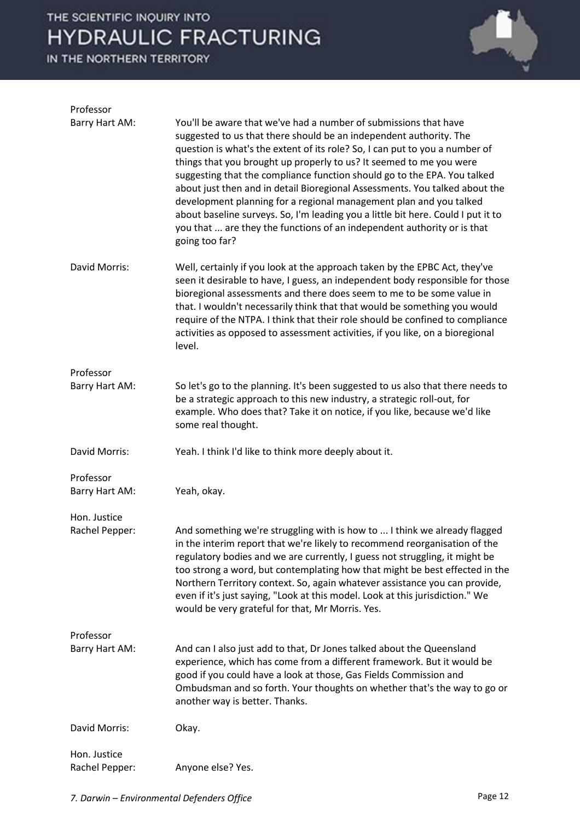## THE SCIENTIFIC INQUIRY INTO **HYDRAULIC FRACTURING**

IN THE NORTHERN TERRITORY



| Professor      |                                                                                                                                                                                                                                                                                                                                                                                                                                                                                                                                                                                                                                                                                                                |
|----------------|----------------------------------------------------------------------------------------------------------------------------------------------------------------------------------------------------------------------------------------------------------------------------------------------------------------------------------------------------------------------------------------------------------------------------------------------------------------------------------------------------------------------------------------------------------------------------------------------------------------------------------------------------------------------------------------------------------------|
| Barry Hart AM: | You'll be aware that we've had a number of submissions that have<br>suggested to us that there should be an independent authority. The<br>question is what's the extent of its role? So, I can put to you a number of<br>things that you brought up properly to us? It seemed to me you were<br>suggesting that the compliance function should go to the EPA. You talked<br>about just then and in detail Bioregional Assessments. You talked about the<br>development planning for a regional management plan and you talked<br>about baseline surveys. So, I'm leading you a little bit here. Could I put it to<br>you that  are they the functions of an independent authority or is that<br>going too far? |
| David Morris:  | Well, certainly if you look at the approach taken by the EPBC Act, they've<br>seen it desirable to have, I guess, an independent body responsible for those<br>bioregional assessments and there does seem to me to be some value in<br>that. I wouldn't necessarily think that that would be something you would<br>require of the NTPA. I think that their role should be confined to compliance<br>activities as opposed to assessment activities, if you like, on a bioregional<br>level.                                                                                                                                                                                                                  |
| Professor      |                                                                                                                                                                                                                                                                                                                                                                                                                                                                                                                                                                                                                                                                                                                |
| Barry Hart AM: | So let's go to the planning. It's been suggested to us also that there needs to<br>be a strategic approach to this new industry, a strategic roll-out, for<br>example. Who does that? Take it on notice, if you like, because we'd like<br>some real thought.                                                                                                                                                                                                                                                                                                                                                                                                                                                  |
|                |                                                                                                                                                                                                                                                                                                                                                                                                                                                                                                                                                                                                                                                                                                                |
| David Morris:  | Yeah. I think I'd like to think more deeply about it.                                                                                                                                                                                                                                                                                                                                                                                                                                                                                                                                                                                                                                                          |
| Professor      |                                                                                                                                                                                                                                                                                                                                                                                                                                                                                                                                                                                                                                                                                                                |
| Barry Hart AM: | Yeah, okay.                                                                                                                                                                                                                                                                                                                                                                                                                                                                                                                                                                                                                                                                                                    |
| Hon. Justice   |                                                                                                                                                                                                                                                                                                                                                                                                                                                                                                                                                                                                                                                                                                                |
| Rachel Pepper: | And something we're struggling with is how to  I think we already flagged<br>in the interim report that we're likely to recommend reorganisation of the<br>regulatory bodies and we are currently, I guess not struggling, it might be<br>too strong a word, but contemplating how that might be best effected in the<br>Northern Territory context. So, again whatever assistance you can provide,<br>even if it's just saying, "Look at this model. Look at this jurisdiction." We<br>would be very grateful for that, Mr Morris. Yes.                                                                                                                                                                       |
| Professor      |                                                                                                                                                                                                                                                                                                                                                                                                                                                                                                                                                                                                                                                                                                                |
| Barry Hart AM: | And can I also just add to that, Dr Jones talked about the Queensland<br>experience, which has come from a different framework. But it would be<br>good if you could have a look at those, Gas Fields Commission and<br>Ombudsman and so forth. Your thoughts on whether that's the way to go or<br>another way is better. Thanks.                                                                                                                                                                                                                                                                                                                                                                             |
| David Morris:  | Okay.                                                                                                                                                                                                                                                                                                                                                                                                                                                                                                                                                                                                                                                                                                          |
| Hon. Justice   |                                                                                                                                                                                                                                                                                                                                                                                                                                                                                                                                                                                                                                                                                                                |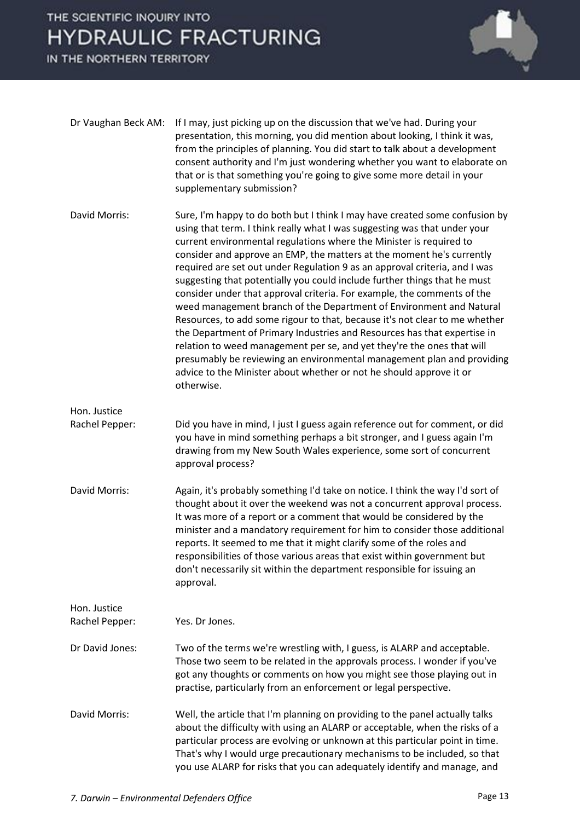# THE SCIENTIFIC INQUIRY INTO **HYDRAULIC FRACTURING**

IN THE NORTHERN TERRITORY



| Dr Vaughan Beck AM:            | If I may, just picking up on the discussion that we've had. During your<br>presentation, this morning, you did mention about looking, I think it was,<br>from the principles of planning. You did start to talk about a development<br>consent authority and I'm just wondering whether you want to elaborate on<br>that or is that something you're going to give some more detail in your<br>supplementary submission?                                                                                                                                                                                                                                                                                                                                                                                                                                                                                                                                                                                                  |
|--------------------------------|---------------------------------------------------------------------------------------------------------------------------------------------------------------------------------------------------------------------------------------------------------------------------------------------------------------------------------------------------------------------------------------------------------------------------------------------------------------------------------------------------------------------------------------------------------------------------------------------------------------------------------------------------------------------------------------------------------------------------------------------------------------------------------------------------------------------------------------------------------------------------------------------------------------------------------------------------------------------------------------------------------------------------|
| David Morris:                  | Sure, I'm happy to do both but I think I may have created some confusion by<br>using that term. I think really what I was suggesting was that under your<br>current environmental regulations where the Minister is required to<br>consider and approve an EMP, the matters at the moment he's currently<br>required are set out under Regulation 9 as an approval criteria, and I was<br>suggesting that potentially you could include further things that he must<br>consider under that approval criteria. For example, the comments of the<br>weed management branch of the Department of Environment and Natural<br>Resources, to add some rigour to that, because it's not clear to me whether<br>the Department of Primary Industries and Resources has that expertise in<br>relation to weed management per se, and yet they're the ones that will<br>presumably be reviewing an environmental management plan and providing<br>advice to the Minister about whether or not he should approve it or<br>otherwise. |
| Hon. Justice<br>Rachel Pepper: | Did you have in mind, I just I guess again reference out for comment, or did<br>you have in mind something perhaps a bit stronger, and I guess again I'm<br>drawing from my New South Wales experience, some sort of concurrent<br>approval process?                                                                                                                                                                                                                                                                                                                                                                                                                                                                                                                                                                                                                                                                                                                                                                      |
| David Morris:                  | Again, it's probably something I'd take on notice. I think the way I'd sort of<br>thought about it over the weekend was not a concurrent approval process.<br>It was more of a report or a comment that would be considered by the<br>minister and a mandatory requirement for him to consider those additional<br>reports. It seemed to me that it might clarify some of the roles and<br>responsibilities of those various areas that exist within government but<br>don't necessarily sit within the department responsible for issuing an<br>approval.                                                                                                                                                                                                                                                                                                                                                                                                                                                                |
| Hon. Justice<br>Rachel Pepper: | Yes. Dr Jones.                                                                                                                                                                                                                                                                                                                                                                                                                                                                                                                                                                                                                                                                                                                                                                                                                                                                                                                                                                                                            |
| Dr David Jones:                | Two of the terms we're wrestling with, I guess, is ALARP and acceptable.<br>Those two seem to be related in the approvals process. I wonder if you've<br>got any thoughts or comments on how you might see those playing out in<br>practise, particularly from an enforcement or legal perspective.                                                                                                                                                                                                                                                                                                                                                                                                                                                                                                                                                                                                                                                                                                                       |
| David Morris:                  | Well, the article that I'm planning on providing to the panel actually talks<br>about the difficulty with using an ALARP or acceptable, when the risks of a<br>particular process are evolving or unknown at this particular point in time.<br>That's why I would urge precautionary mechanisms to be included, so that<br>you use ALARP for risks that you can adequately identify and manage, and                                                                                                                                                                                                                                                                                                                                                                                                                                                                                                                                                                                                                       |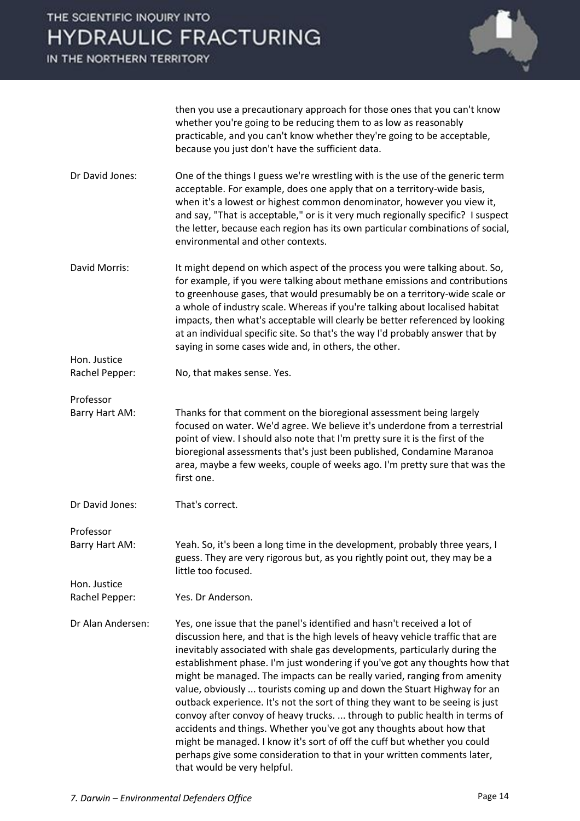IN THE NORTHERN TERRITORY



then you use a precautionary approach for those ones that you can't know whether you're going to be reducing them to as low as reasonably practicable, and you can't know whether they're going to be acceptable, because you just don't have the sufficient data.

- Dr David Jones: One of the things I guess we're wrestling with is the use of the generic term acceptable. For example, does one apply that on a territory-wide basis, when it's a lowest or highest common denominator, however you view it, and say, "That is acceptable," or is it very much regionally specific? I suspect the letter, because each region has its own particular combinations of social, environmental and other contexts.
- David Morris: It might depend on which aspect of the process you were talking about. So, for example, if you were talking about methane emissions and contributions to greenhouse gases, that would presumably be on a territory-wide scale or a whole of industry scale. Whereas if you're talking about localised habitat impacts, then what's acceptable will clearly be better referenced by looking at an individual specific site. So that's the way I'd probably answer that by saying in some cases wide and, in others, the other.
- Rachel Pepper: No, that makes sense. Yes.

Professor

Hon. Justice

Barry Hart AM: Thanks for that comment on the bioregional assessment being largely focused on water. We'd agree. We believe it's underdone from a terrestrial point of view. I should also note that I'm pretty sure it is the first of the bioregional assessments that's just been published, Condamine Maranoa area, maybe a few weeks, couple of weeks ago. I'm pretty sure that was the first one.

Dr David Jones: That's correct.

Professor Barry Hart AM: Yeah. So, it's been a long time in the development, probably three years, I guess. They are very rigorous but, as you rightly point out, they may be a little too focused.

Hon. Justice Rachel Pepper: Yes. Dr Anderson.

Dr Alan Andersen: Yes, one issue that the panel's identified and hasn't received a lot of discussion here, and that is the high levels of heavy vehicle traffic that are inevitably associated with shale gas developments, particularly during the establishment phase. I'm just wondering if you've got any thoughts how that might be managed. The impacts can be really varied, ranging from amenity value, obviously ... tourists coming up and down the Stuart Highway for an outback experience. It's not the sort of thing they want to be seeing is just convoy after convoy of heavy trucks. ... through to public health in terms of accidents and things. Whether you've got any thoughts about how that might be managed. I know it's sort of off the cuff but whether you could perhaps give some consideration to that in your written comments later, that would be very helpful.